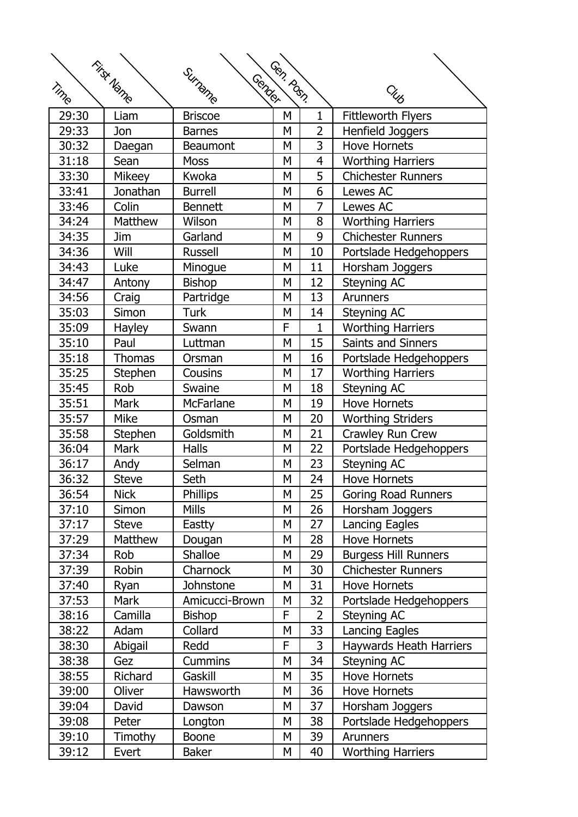| First Name<br>Gen. Poss.<br>Surname<br>Gender |               |                  |   |                |                             |
|-----------------------------------------------|---------------|------------------|---|----------------|-----------------------------|
| Time                                          |               |                  |   |                | <b>CHUB</b>                 |
| 29:30                                         | Liam          | <b>Briscoe</b>   | M | $\mathbf{1}$   | <b>Fittleworth Flyers</b>   |
| 29:33                                         | Jon           | <b>Barnes</b>    | M | $\overline{2}$ | Henfield Joggers            |
| 30:32                                         | Daegan        | <b>Beaumont</b>  | M | 3              | <b>Hove Hornets</b>         |
| 31:18                                         | Sean          | <b>Moss</b>      | Μ | 4              | <b>Worthing Harriers</b>    |
| 33:30                                         | Mikeey        | Kwoka            | M | 5              | <b>Chichester Runners</b>   |
| 33:41                                         | Jonathan      | <b>Burrell</b>   | M | 6              | Lewes AC                    |
| 33:46                                         | Colin         | <b>Bennett</b>   | M | 7              | Lewes AC                    |
| 34:24                                         | Matthew       | Wilson           | M | 8              |                             |
|                                               |               |                  |   |                | <b>Worthing Harriers</b>    |
| 34:35                                         | Jim           | Garland          | Μ | 9              | <b>Chichester Runners</b>   |
| 34:36                                         | Will          | <b>Russell</b>   | Μ | 10             | Portslade Hedgehoppers      |
| 34:43                                         | Luke          | Minogue          | M | 11             | Horsham Joggers             |
| 34:47                                         | Antony        | <b>Bishop</b>    | M | 12             | <b>Steyning AC</b>          |
| 34:56                                         | Craig         | Partridge        | M | 13             | <b>Arunners</b>             |
| 35:03                                         | Simon         | <b>Turk</b>      | Μ | 14             | <b>Steyning AC</b>          |
| 35:09                                         | <b>Hayley</b> | Swann            | F | 1              | <b>Worthing Harriers</b>    |
| 35:10                                         | Paul          | Luttman          | M | 15             | Saints and Sinners          |
| 35:18                                         | <b>Thomas</b> | Orsman           | M | 16             | Portslade Hedgehoppers      |
| 35:25                                         | Stephen       | Cousins          | M | 17             | <b>Worthing Harriers</b>    |
| 35:45                                         | Rob           | Swaine           | Μ | 18             | <b>Steyning AC</b>          |
| 35:51                                         | <b>Mark</b>   | <b>McFarlane</b> | M | 19             | <b>Hove Hornets</b>         |
| 35:57                                         | <b>Mike</b>   | Osman            | M | 20             | <b>Worthing Striders</b>    |
| 35:58                                         | Stephen       | Goldsmith        | M | 21             | Crawley Run Crew            |
| 36:04                                         | <b>Mark</b>   | <b>Halls</b>     | M | 22             | Portslade Hedgehoppers      |
| 36:17                                         | Andy          | Selman           | Μ | 23             | <b>Steyning AC</b>          |
| 36:32                                         | <b>Steve</b>  | Seth             | Μ | 24             | <b>Hove Hornets</b>         |
| 36:54                                         | <b>Nick</b>   | <b>Phillips</b>  | M | 25             | <b>Goring Road Runners</b>  |
| 37:10                                         | Simon         | <b>Mills</b>     | M | 26             | Horsham Joggers             |
| 37:17                                         | <b>Steve</b>  | Eastty           | M | 27             | <b>Lancing Eagles</b>       |
| 37:29                                         | Matthew       | Dougan           | Μ | 28             | Hove Hornets                |
| 37:34                                         | Rob           | <b>Shalloe</b>   | Μ | 29             | <b>Burgess Hill Runners</b> |
| 37:39                                         | Robin         | Charnock         | M | 30             | <b>Chichester Runners</b>   |
| 37:40                                         | Ryan          | Johnstone        | M | 31             | <b>Hove Hornets</b>         |
| 37:53                                         | <b>Mark</b>   | Amicucci-Brown   | M | 32             | Portslade Hedgehoppers      |
| 38:16                                         | Camilla       | <b>Bishop</b>    | F | $\overline{2}$ | Steyning AC                 |
| 38:22                                         | Adam          | Collard          | Μ | 33             | <b>Lancing Eagles</b>       |
| 38:30                                         | Abigail       | Redd             | F | 3              | Haywards Heath Harriers     |
| 38:38                                         | Gez           | <b>Cummins</b>   | M | 34             | Steyning AC                 |
| 38:55                                         | Richard       | Gaskill          | M | 35             | <b>Hove Hornets</b>         |
| 39:00                                         | Oliver        | Hawsworth        | Μ | 36             | Hove Hornets                |
| 39:04                                         | David         | Dawson           | Μ | 37             | Horsham Joggers             |
| 39:08                                         | Peter         |                  | M | 38             |                             |
|                                               |               | Longton          |   |                | Portslade Hedgehoppers      |
| 39:10                                         | Timothy       | <b>Boone</b>     | M | 39             | <b>Arunners</b>             |
| 39:12                                         | Evert         | <b>Baker</b>     | M | 40             | <b>Worthing Harriers</b>    |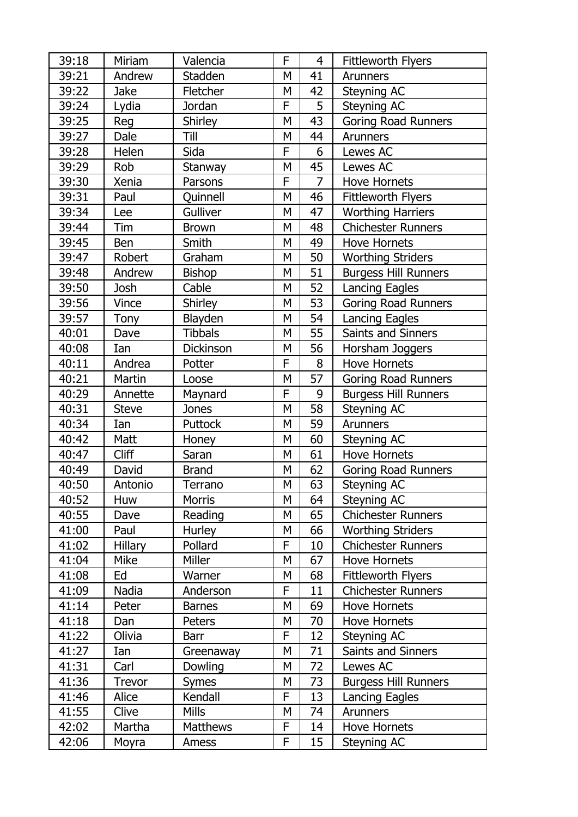| 39:18 | Miriam         | Valencia        | F | $\overline{4}$ | <b>Fittleworth Flyers</b>   |
|-------|----------------|-----------------|---|----------------|-----------------------------|
| 39:21 | Andrew         | Stadden         | M | 41             | <b>Arunners</b>             |
| 39:22 | <b>Jake</b>    | Fletcher        | M | 42             | Steyning AC                 |
| 39:24 | Lydia          | Jordan          | F | 5              | Steyning AC                 |
| 39:25 | Reg            | <b>Shirley</b>  | M | 43             | <b>Goring Road Runners</b>  |
| 39:27 | Dale           | Till            | M | 44             | Arunners                    |
| 39:28 | Helen          | Sida            | F | 6              | Lewes AC                    |
| 39:29 | Rob            | Stanway         | M | 45             | Lewes AC                    |
| 39:30 | Xenia          | Parsons         | F | 7              | <b>Hove Hornets</b>         |
| 39:31 | Paul           | Quinnell        | M | 46             | <b>Fittleworth Flyers</b>   |
| 39:34 | Lee            | Gulliver        | M | 47             | <b>Worthing Harriers</b>    |
| 39:44 | Tim            | <b>Brown</b>    | M | 48             | <b>Chichester Runners</b>   |
| 39:45 | Ben            | Smith           | M | 49             | <b>Hove Hornets</b>         |
| 39:47 | Robert         | Graham          | M | 50             | Worthing Striders           |
| 39:48 | Andrew         | <b>Bishop</b>   | M | 51             | <b>Burgess Hill Runners</b> |
| 39:50 | Josh           | Cable           | M | 52             | <b>Lancing Eagles</b>       |
| 39:56 | Vince          | <b>Shirley</b>  | M | 53             | <b>Goring Road Runners</b>  |
| 39:57 | Tony           | Blayden         | M | 54             | <b>Lancing Eagles</b>       |
| 40:01 | Dave           | <b>Tibbals</b>  | M | 55             | Saints and Sinners          |
| 40:08 | Ian            | Dickinson       | M | 56             | Horsham Joggers             |
| 40:11 | Andrea         | Potter          | F | 8              | <b>Hove Hornets</b>         |
| 40:21 | Martin         | Loose           | M | 57             | <b>Goring Road Runners</b>  |
| 40:29 | Annette        | Maynard         | F | 9              | <b>Burgess Hill Runners</b> |
| 40:31 | <b>Steve</b>   | Jones           | M | 58             | <b>Steyning AC</b>          |
| 40:34 | Ian            | Puttock         | M | 59             | <b>Arunners</b>             |
| 40:42 | Matt           | Honey           | M | 60             | Steyning AC                 |
| 40:47 | Cliff          | Saran           | M | 61             | <b>Hove Hornets</b>         |
| 40:49 | David          | <b>Brand</b>    | M | 62             | <b>Goring Road Runners</b>  |
| 40:50 | Antonio        | Terrano         | M | 63             | Steyning AC                 |
| 40:52 | Huw            | Morris          | M | 64             | Steyning AC                 |
| 40:55 | Dave           | Reading         | M | 65             | <b>Chichester Runners</b>   |
| 41:00 | Paul           | Hurley          | M | 66             | <b>Worthing Striders</b>    |
| 41:02 | <b>Hillary</b> | Pollard         | F | 10             | <b>Chichester Runners</b>   |
| 41:04 | Mike           | Miller          | M | 67             | <b>Hove Hornets</b>         |
| 41:08 | Ed             | Warner          | M | 68             | <b>Fittleworth Flyers</b>   |
| 41:09 | Nadia          | Anderson        | F | 11             | <b>Chichester Runners</b>   |
| 41:14 | Peter          | <b>Barnes</b>   | M | 69             | <b>Hove Hornets</b>         |
| 41:18 | Dan            | Peters          | M | 70             | Hove Hornets                |
| 41:22 | Olivia         | Barr            | F | 12             | Steyning AC                 |
| 41:27 | Ian            | Greenaway       | М | 71             | Saints and Sinners          |
| 41:31 | Carl           | Dowling         | M | 72             | Lewes AC                    |
| 41:36 | <b>Trevor</b>  | <b>Symes</b>    | M | 73             | <b>Burgess Hill Runners</b> |
| 41:46 | Alice          | Kendall         | F | 13             | Lancing Eagles              |
| 41:55 | Clive          | <b>Mills</b>    | M | 74             | Arunners                    |
| 42:02 | Martha         | <b>Matthews</b> | F | 14             | <b>Hove Hornets</b>         |
| 42:06 | Moyra          | Amess           | F | 15             | Steyning AC                 |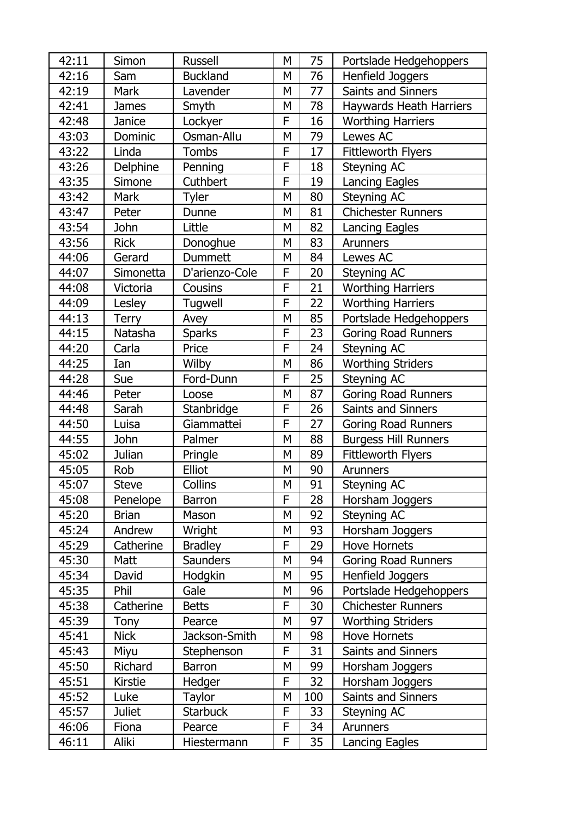| 42:11 | Simon         | <b>Russell</b>  | M | 75     | Portslade Hedgehoppers         |
|-------|---------------|-----------------|---|--------|--------------------------------|
| 42:16 | Sam           | <b>Buckland</b> | M | 76     | Henfield Joggers               |
| 42:19 | <b>Mark</b>   | Lavender        | M | 77     | <b>Saints and Sinners</b>      |
| 42:41 | <b>James</b>  | Smyth           | M | 78     | <b>Haywards Heath Harriers</b> |
| 42:48 | Janice        | Lockyer         | F | 16     | <b>Worthing Harriers</b>       |
| 43:03 | Dominic       | Osman-Allu      | M | 79     | Lewes AC                       |
| 43:22 | Linda         | Tombs           | F | 17     | <b>Fittleworth Flyers</b>      |
| 43:26 | Delphine      | Penning         | F | 18     | Steyning AC                    |
| 43:35 | Simone        | Cuthbert        | F | 19     | Lancing Eagles                 |
| 43:42 | <b>Mark</b>   | Tyler           | M | 80     | Steyning AC                    |
| 43:47 | Peter         | Dunne           | M | 81     | <b>Chichester Runners</b>      |
| 43:54 | John          | Little          | M | 82     | <b>Lancing Eagles</b>          |
| 43:56 | <b>Rick</b>   | Donoghue        | M | 83     | <b>Arunners</b>                |
| 44:06 | Gerard        | <b>Dummett</b>  | M | 84     | Lewes AC                       |
| 44:07 | Simonetta     | D'arienzo-Cole  | F | 20     | Steyning AC                    |
| 44:08 | Victoria      | Cousins         | F | 21     | <b>Worthing Harriers</b>       |
| 44:09 | Lesley        | Tugwell         | F | 22     | <b>Worthing Harriers</b>       |
| 44:13 | <b>Terry</b>  | Avey            | M | 85     | Portslade Hedgehoppers         |
| 44:15 | Natasha       | <b>Sparks</b>   | F | 23     | <b>Goring Road Runners</b>     |
| 44:20 | Carla         | Price           | F | 24     | <b>Steyning AC</b>             |
| 44:25 | Ian           | Wilby           | M | 86     | <b>Worthing Striders</b>       |
| 44:28 | Sue           | Ford-Dunn       | F | 25     | Steyning AC                    |
| 44:46 | Peter         | Loose           | M | 87     | <b>Goring Road Runners</b>     |
| 44:48 | Sarah         | Stanbridge      | F | 26     | Saints and Sinners             |
| 44:50 | Luisa         | Giammattei      | F | 27     | <b>Goring Road Runners</b>     |
| 44:55 | John          | Palmer          | M | 88     | <b>Burgess Hill Runners</b>    |
| 45:02 | Julian        | Pringle         | M | 89     | <b>Fittleworth Flyers</b>      |
| 45:05 | Rob           | Elliot          | M | $90\,$ | <b>Arunners</b>                |
| 45:07 | <b>Steve</b>  | Collins         | M | 91     | Steyning AC                    |
| 45:08 | Penelope      | <b>Barron</b>   | F | 28     | Horsham Joggers                |
| 45:20 | <b>Brian</b>  | Mason           | M | 92     | Steyning AC                    |
| 45:24 | Andrew        | Wright          | M | 93     | Horsham Joggers                |
| 45:29 | Catherine     | <b>Bradley</b>  | F | 29     | <b>Hove Hornets</b>            |
| 45:30 | Matt          | <b>Saunders</b> | M | 94     | <b>Goring Road Runners</b>     |
| 45:34 | David         | Hodgkin         | M | 95     | Henfield Joggers               |
| 45:35 | Phil          | Gale            | M | 96     | Portslade Hedgehoppers         |
| 45:38 | Catherine     | <b>Betts</b>    | F | 30     | <b>Chichester Runners</b>      |
| 45:39 | Tony          | Pearce          | M | 97     | <b>Worthing Striders</b>       |
| 45:41 | <b>Nick</b>   | Jackson-Smith   | М | 98     | <b>Hove Hornets</b>            |
| 45:43 | Miyu          | Stephenson      | F | 31     | Saints and Sinners             |
| 45:50 | Richard       | <b>Barron</b>   | M | 99     | Horsham Joggers                |
| 45:51 | Kirstie       | Hedger          | F | 32     | Horsham Joggers                |
| 45:52 | Luke          | Taylor          | M | 100    | Saints and Sinners             |
| 45:57 | <b>Juliet</b> | <b>Starbuck</b> | F | 33     | Steyning AC                    |
| 46:06 | Fiona         | Pearce          | F | 34     | <b>Arunners</b>                |
| 46:11 | Aliki         | Hiestermann     | F | 35     | <b>Lancing Eagles</b>          |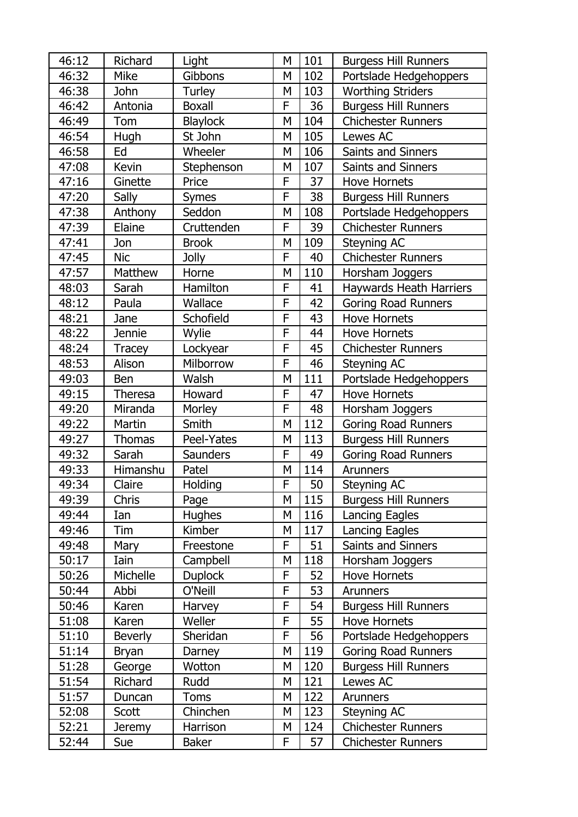| 46:12 | Richard        | Light           | M         | 101 | <b>Burgess Hill Runners</b>    |
|-------|----------------|-----------------|-----------|-----|--------------------------------|
| 46:32 | <b>Mike</b>    | Gibbons         | M         | 102 | Portslade Hedgehoppers         |
| 46:38 | John           | Turley          | M         | 103 | <b>Worthing Striders</b>       |
| 46:42 | Antonia        | <b>Boxall</b>   | F         | 36  | <b>Burgess Hill Runners</b>    |
| 46:49 | Tom            | <b>Blaylock</b> | M         | 104 | <b>Chichester Runners</b>      |
| 46:54 | Hugh           | St John         | M         | 105 | Lewes AC                       |
| 46:58 | Ed             | Wheeler         | M         | 106 | <b>Saints and Sinners</b>      |
| 47:08 | Kevin          | Stephenson      | M         | 107 | Saints and Sinners             |
| 47:16 | Ginette        | Price           | F         | 37  | <b>Hove Hornets</b>            |
| 47:20 | Sally          | <b>Symes</b>    | F         | 38  | <b>Burgess Hill Runners</b>    |
| 47:38 | Anthony        | Seddon          | M         | 108 | Portslade Hedgehoppers         |
| 47:39 | Elaine         | Cruttenden      | F         | 39  | <b>Chichester Runners</b>      |
| 47:41 | Jon            | <b>Brook</b>    | M         | 109 | Steyning AC                    |
| 47:45 | <b>Nic</b>     | <b>Jolly</b>    | F         | 40  | <b>Chichester Runners</b>      |
| 47:57 | Matthew        | Horne           | M         | 110 | Horsham Joggers                |
| 48:03 | Sarah          | Hamilton        | F         | 41  | <b>Haywards Heath Harriers</b> |
| 48:12 | Paula          | Wallace         | F         | 42  | <b>Goring Road Runners</b>     |
| 48:21 | Jane           | Schofield       | F         | 43  | <b>Hove Hornets</b>            |
| 48:22 | <b>Jennie</b>  | Wylie           | F         | 44  | <b>Hove Hornets</b>            |
| 48:24 | <b>Tracey</b>  | Lockyear        | F         | 45  | <b>Chichester Runners</b>      |
| 48:53 | Alison         | Milborrow       | F         | 46  | Steyning AC                    |
| 49:03 | Ben            | Walsh           | M         | 111 | Portslade Hedgehoppers         |
| 49:15 | <b>Theresa</b> | Howard          | F         | 47  | <b>Hove Hornets</b>            |
| 49:20 | Miranda        | Morley          | F         | 48  | Horsham Joggers                |
| 49:22 | Martin         | Smith           | M         | 112 | <b>Goring Road Runners</b>     |
| 49:27 | <b>Thomas</b>  | Peel-Yates      | M         | 113 | <b>Burgess Hill Runners</b>    |
| 49:32 | Sarah          | <b>Saunders</b> | F         | 49  | <b>Goring Road Runners</b>     |
| 49:33 | Himanshu       | Patel           | ${\sf M}$ | 114 | <b>Arunners</b>                |
| 49:34 | Claire         | <b>Holding</b>  | F         | 50  | Steyning AC                    |
| 49:39 | <b>Chris</b>   | Page            | M         | 115 | <b>Burgess Hill Runners</b>    |
| 49:44 | Ian            | <b>Hughes</b>   | M         | 116 | <b>Lancing Eagles</b>          |
| 49:46 | Tim            | Kimber          | M         | 117 | <b>Lancing Eagles</b>          |
| 49:48 | Mary           | Freestone       | F         | 51  | Saints and Sinners             |
| 50:17 | Iain           | Campbell        | M         | 118 | Horsham Joggers                |
| 50:26 | Michelle       | <b>Duplock</b>  | F         | 52  | <b>Hove Hornets</b>            |
| 50:44 | Abbi           | O'Neill         | F         | 53  | Arunners                       |
| 50:46 | Karen          | Harvey          | F         | 54  | <b>Burgess Hill Runners</b>    |
| 51:08 | Karen          | Weller          | F         | 55  | <b>Hove Hornets</b>            |
| 51:10 | <b>Beverly</b> | Sheridan        | F         | 56  | Portslade Hedgehoppers         |
| 51:14 | <b>Bryan</b>   | Darney          | M         | 119 | <b>Goring Road Runners</b>     |
| 51:28 | George         | Wotton          | M         | 120 | <b>Burgess Hill Runners</b>    |
| 51:54 | Richard        | Rudd            | M         | 121 | Lewes AC                       |
| 51:57 | Duncan         | <b>Toms</b>     | M         | 122 | Arunners                       |
| 52:08 | Scott          | Chinchen        | M         | 123 | Steyning AC                    |
| 52:21 | Jeremy         | Harrison        | M         | 124 | <b>Chichester Runners</b>      |
| 52:44 | Sue            | <b>Baker</b>    | F         | 57  | <b>Chichester Runners</b>      |